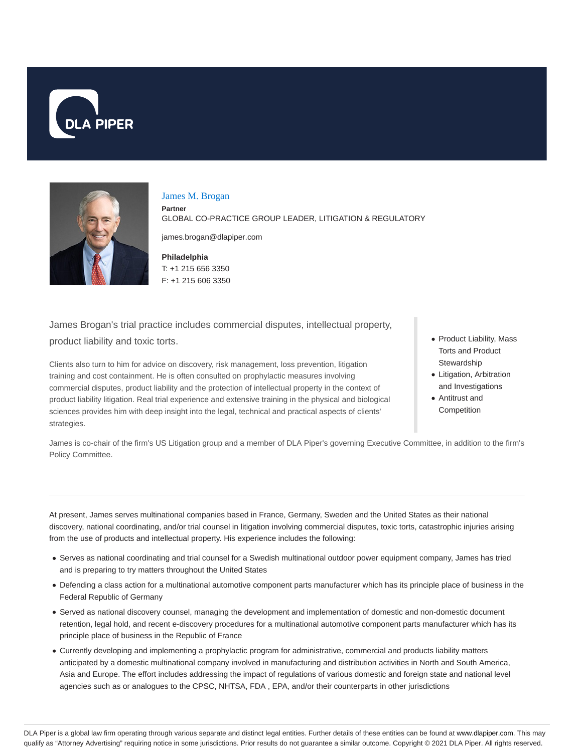



#### James M. Brogan

**Partner** GLOBAL CO-PRACTICE GROUP LEADER, LITIGATION & REGULATORY

james.brogan@dlapiper.com

**Philadelphia** T: +1 215 656 3350 F: +1 215 606 3350

James Brogan's trial practice includes commercial disputes, intellectual property, product liability and toxic torts.

Clients also turn to him for advice on discovery, risk management, loss prevention, litigation training and cost containment. He is often consulted on prophylactic measures involving commercial disputes, product liability and the protection of intellectual property in the context of product liability litigation. Real trial experience and extensive training in the physical and biological sciences provides him with deep insight into the legal, technical and practical aspects of clients' strategies.

- Product Liability, Mass Torts and Product Stewardship
- Litigation, Arbitration and Investigations
- Antitrust and **Competition**

James is co-chair of the firm's US Litigation group and a member of DLA Piper's governing Executive Committee, in addition to the firm's Policy Committee.

At present, James serves multinational companies based in France, Germany, Sweden and the United States as their national discovery, national coordinating, and/or trial counsel in litigation involving commercial disputes, toxic torts, catastrophic injuries arising from the use of products and intellectual property. His experience includes the following:

- Serves as national coordinating and trial counsel for a Swedish multinational outdoor power equipment company, James has tried and is preparing to try matters throughout the United States
- Defending a class action for a multinational automotive component parts manufacturer which has its principle place of business in the Federal Republic of Germany
- Served as national discovery counsel, managing the development and implementation of domestic and non-domestic document retention, legal hold, and recent e-discovery procedures for a multinational automotive component parts manufacturer which has its principle place of business in the Republic of France
- Currently developing and implementing a prophylactic program for administrative, commercial and products liability matters anticipated by a domestic multinational company involved in manufacturing and distribution activities in North and South America, Asia and Europe. The effort includes addressing the impact of regulations of various domestic and foreign state and national level agencies such as or analogues to the CPSC, NHTSA, FDA , EPA, and/or their counterparts in other jurisdictions

DLA Piper is a global law firm operating through various separate and distinct legal entities. Further details of these entities can be found at www.dlapiper.com. This may qualify as "Attorney Advertising" requiring notice in some jurisdictions. Prior results do not guarantee a similar outcome. Copyright @ 2021 DLA Piper. All rights reserved.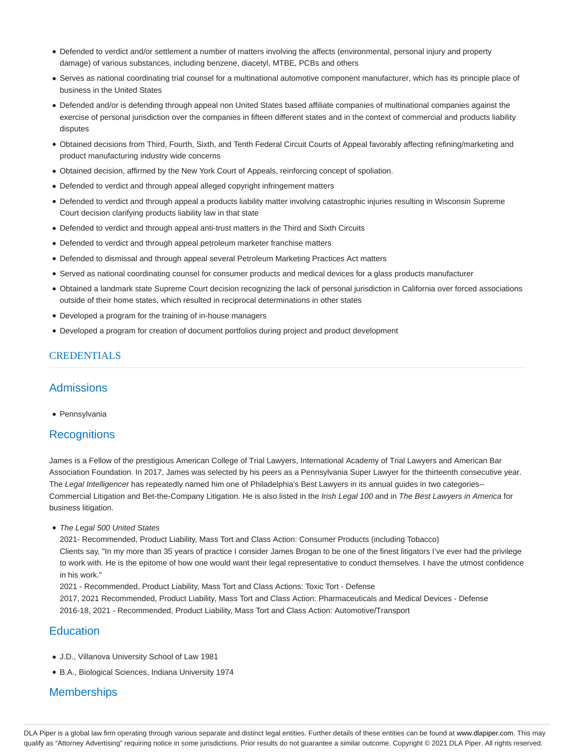- Defended to verdict and/or settlement a number of matters involving the affects (environmental, personal injury and property damage) of various substances, including benzene, diacetyl, MTBE, PCBs and others
- Serves as national coordinating trial counsel for a multinational automotive component manufacturer, which has its principle place of business in the United States
- Defended and/or is defending through appeal non United States based affiliate companies of multinational companies against the exercise of personal jurisdiction over the companies in fifteen different states and in the context of commercial and products liability disputes
- Obtained decisions from Third, Fourth, Sixth, and Tenth Federal Circuit Courts of Appeal favorably affecting refining/marketing and product manufacturing industry wide concerns
- Obtained decision, affirmed by the New York Court of Appeals, reinforcing concept of spoliation.
- Defended to verdict and through appeal alleged copyright infringement matters
- Defended to verdict and through appeal a products liability matter involving catastrophic injuries resulting in Wisconsin Supreme Court decision clarifying products liability law in that state
- Defended to verdict and through appeal anti-trust matters in the Third and Sixth Circuits
- Defended to verdict and through appeal petroleum marketer franchise matters
- Defended to dismissal and through appeal several Petroleum Marketing Practices Act matters
- Served as national coordinating counsel for consumer products and medical devices for a glass products manufacturer
- Obtained a landmark state Supreme Court decision recognizing the lack of personal jurisdiction in California over forced associations outside of their home states, which resulted in reciprocal determinations in other states
- Developed a program for the training of in-house managers
- Developed a program for creation of document portfolios during project and product development

### **CREDENTIALS**

### **Admissions**

• Pennsylvania

### **Recognitions**

James is a Fellow of the prestigious American College of Trial Lawyers, International Academy of Trial Lawyers and American Bar Association Foundation. In 2017, James was selected by his peers as a Pennsylvania Super Lawyer for the thirteenth consecutive year. The Legal Intelligencer has repeatedly named him one of Philadelphia's Best Lawyers in its annual guides in two categories--Commercial Litigation and Bet-the-Company Litigation. He is also listed in the Irish Legal 100 and in The Best Lawyers in America for business litigation.

• The Legal 500 United States

2021- Recommended, Product Liability, Mass Tort and Class Action: Consumer Products (including Tobacco) Clients say, "In my more than 35 years of practice I consider James Brogan to be one of the finest litigators I've ever had the privilege to work with. He is the epitome of how one would want their legal representative to conduct themselves. I have the utmost confidence in his work."

2021 - Recommended, Product Liability, Mass Tort and Class Actions: Toxic Tort - Defense

2017, 2021 Recommended, Product Liability, Mass Tort and Class Action: Pharmaceuticals and Medical Devices - Defense 2016-18, 2021 - Recommended, Product Liability, Mass Tort and Class Action: Automotive/Transport

# **Education**

- J.D., Villanova University School of Law 1981
- B.A., Biological Sciences, Indiana University 1974

# **Memberships**